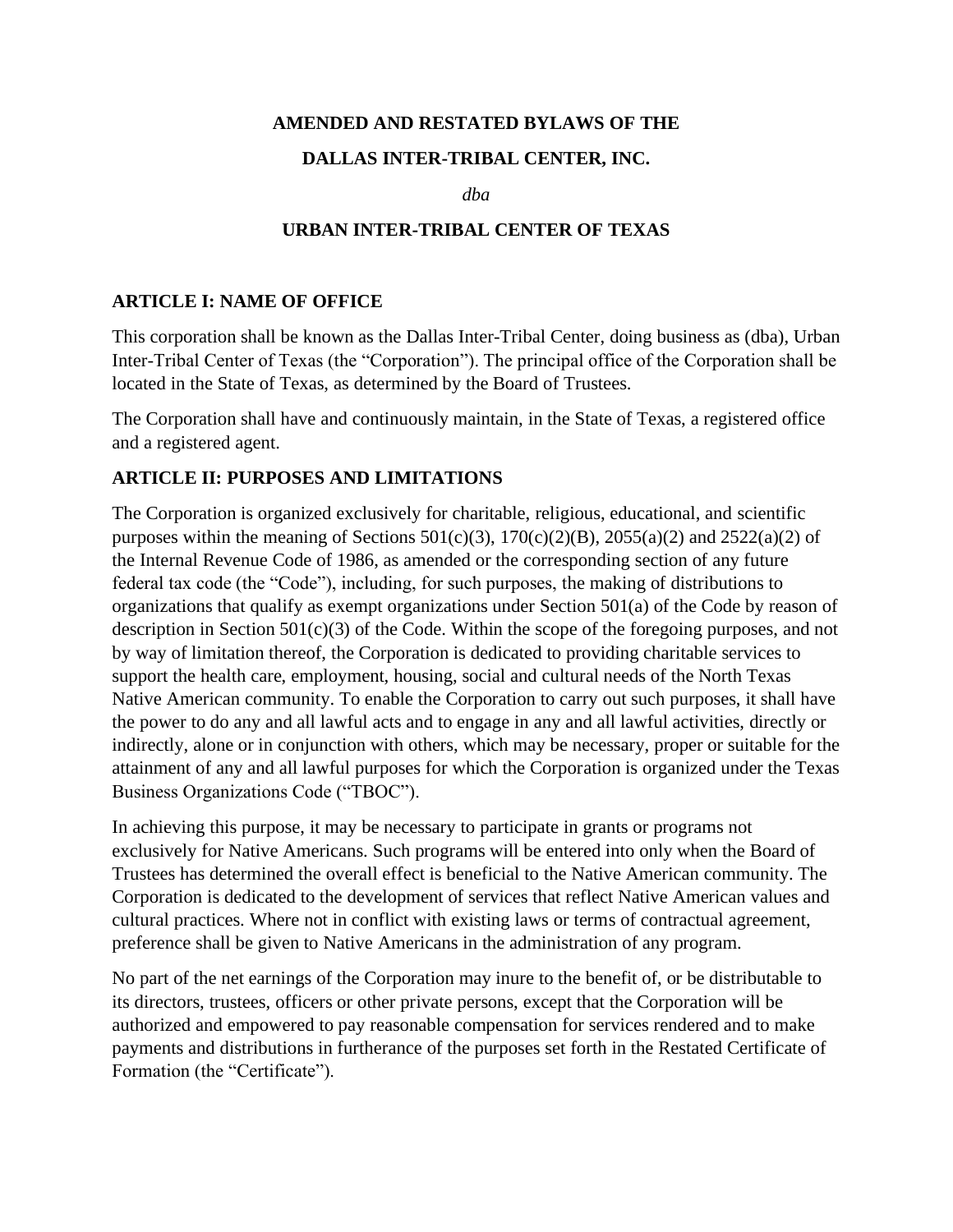#### **AMENDED AND RESTATED BYLAWS OF THE**

#### **DALLAS INTER-TRIBAL CENTER, INC.**

*dba*

#### **URBAN INTER-TRIBAL CENTER OF TEXAS**

#### **ARTICLE I: NAME OF OFFICE**

This corporation shall be known as the Dallas Inter-Tribal Center, doing business as (dba), Urban Inter-Tribal Center of Texas (the "Corporation"). The principal office of the Corporation shall be located in the State of Texas, as determined by the Board of Trustees.

The Corporation shall have and continuously maintain, in the State of Texas, a registered office and a registered agent.

#### **ARTICLE II: PURPOSES AND LIMITATIONS**

The Corporation is organized exclusively for charitable, religious, educational, and scientific purposes within the meaning of Sections  $501(c)(3)$ ,  $170(c)(2)(B)$ ,  $2055(a)(2)$  and  $2522(a)(2)$  of the Internal Revenue Code of 1986, as amended or the corresponding section of any future federal tax code (the "Code"), including, for such purposes, the making of distributions to organizations that qualify as exempt organizations under Section 501(a) of the Code by reason of description in Section 501(c)(3) of the Code. Within the scope of the foregoing purposes, and not by way of limitation thereof, the Corporation is dedicated to providing charitable services to support the health care, employment, housing, social and cultural needs of the North Texas Native American community. To enable the Corporation to carry out such purposes, it shall have the power to do any and all lawful acts and to engage in any and all lawful activities, directly or indirectly, alone or in conjunction with others, which may be necessary, proper or suitable for the attainment of any and all lawful purposes for which the Corporation is organized under the Texas Business Organizations Code ("TBOC").

In achieving this purpose, it may be necessary to participate in grants or programs not exclusively for Native Americans. Such programs will be entered into only when the Board of Trustees has determined the overall effect is beneficial to the Native American community. The Corporation is dedicated to the development of services that reflect Native American values and cultural practices. Where not in conflict with existing laws or terms of contractual agreement, preference shall be given to Native Americans in the administration of any program.

No part of the net earnings of the Corporation may inure to the benefit of, or be distributable to its directors, trustees, officers or other private persons, except that the Corporation will be authorized and empowered to pay reasonable compensation for services rendered and to make payments and distributions in furtherance of the purposes set forth in the Restated Certificate of Formation (the "Certificate").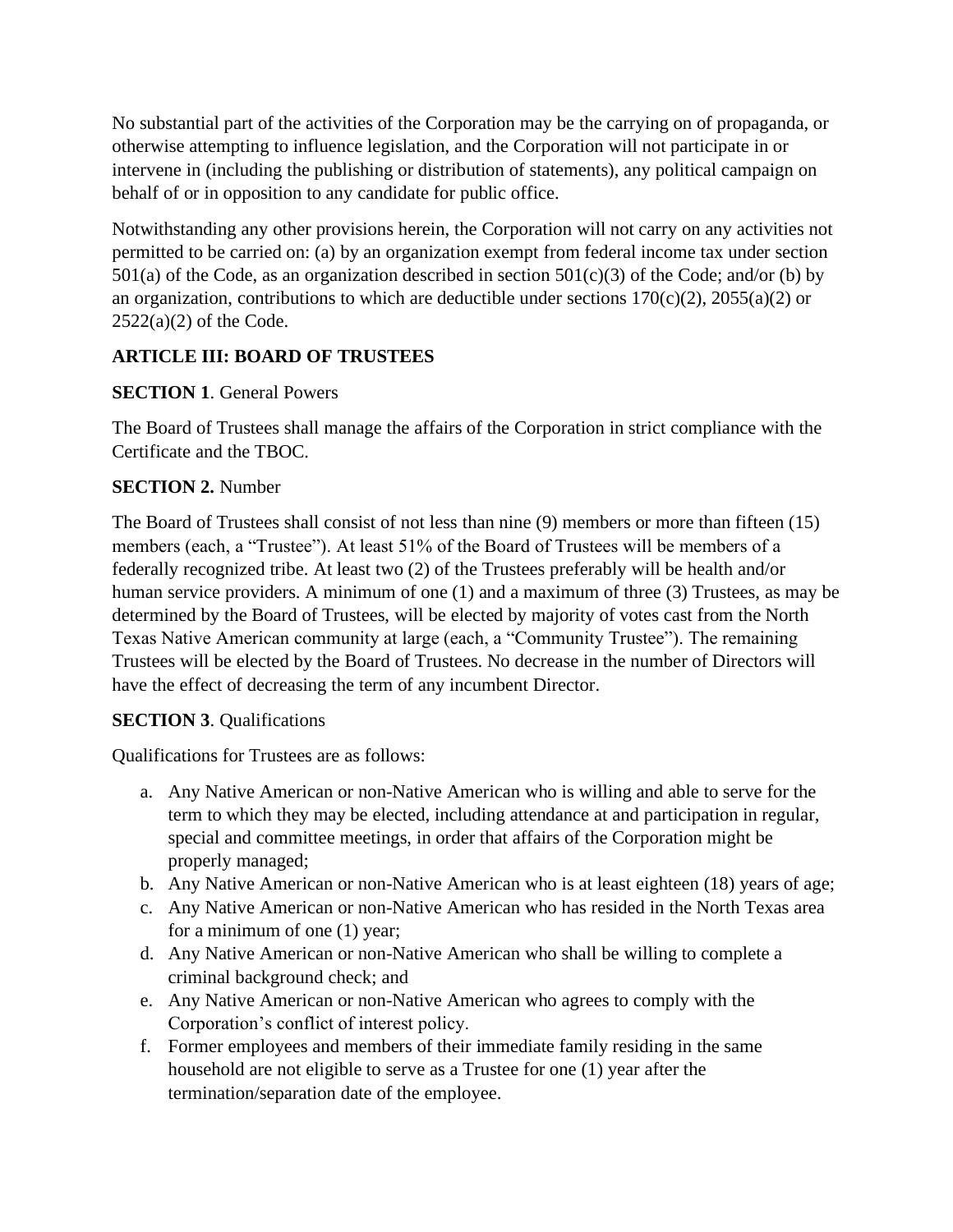No substantial part of the activities of the Corporation may be the carrying on of propaganda, or otherwise attempting to influence legislation, and the Corporation will not participate in or intervene in (including the publishing or distribution of statements), any political campaign on behalf of or in opposition to any candidate for public office.

Notwithstanding any other provisions herein, the Corporation will not carry on any activities not permitted to be carried on: (a) by an organization exempt from federal income tax under section  $501(a)$  of the Code, as an organization described in section  $501(c)(3)$  of the Code; and/or (b) by an organization, contributions to which are deductible under sections  $170(c)(2)$ ,  $2055(a)(2)$  or  $2522(a)(2)$  of the Code.

# **ARTICLE III: BOARD OF TRUSTEES**

# **SECTION 1**. General Powers

The Board of Trustees shall manage the affairs of the Corporation in strict compliance with the Certificate and the TBOC.

# **SECTION 2.** Number

The Board of Trustees shall consist of not less than nine (9) members or more than fifteen (15) members (each, a "Trustee"). At least 51% of the Board of Trustees will be members of a federally recognized tribe. At least two (2) of the Trustees preferably will be health and/or human service providers. A minimum of one (1) and a maximum of three (3) Trustees, as may be determined by the Board of Trustees, will be elected by majority of votes cast from the North Texas Native American community at large (each, a "Community Trustee"). The remaining Trustees will be elected by the Board of Trustees. No decrease in the number of Directors will have the effect of decreasing the term of any incumbent Director.

## **SECTION 3**. Qualifications

Qualifications for Trustees are as follows:

- a. Any Native American or non-Native American who is willing and able to serve for the term to which they may be elected, including attendance at and participation in regular, special and committee meetings, in order that affairs of the Corporation might be properly managed;
- b. Any Native American or non-Native American who is at least eighteen (18) years of age;
- c. Any Native American or non-Native American who has resided in the North Texas area for a minimum of one (1) year;
- d. Any Native American or non-Native American who shall be willing to complete a criminal background check; and
- e. Any Native American or non-Native American who agrees to comply with the Corporation's conflict of interest policy.
- f. Former employees and members of their immediate family residing in the same household are not eligible to serve as a Trustee for one (1) year after the termination/separation date of the employee.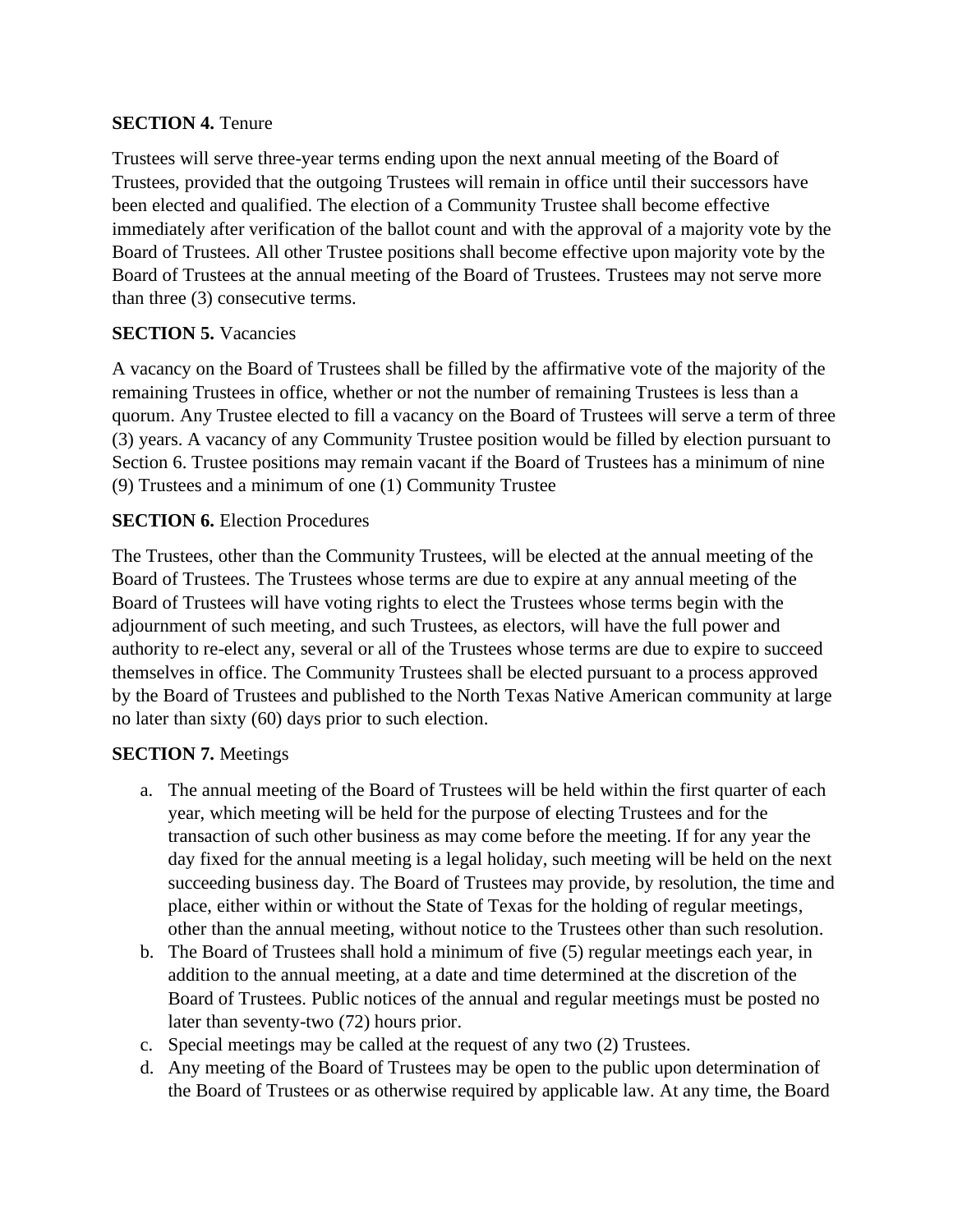### **SECTION 4.** Tenure

Trustees will serve three-year terms ending upon the next annual meeting of the Board of Trustees, provided that the outgoing Trustees will remain in office until their successors have been elected and qualified. The election of a Community Trustee shall become effective immediately after verification of the ballot count and with the approval of a majority vote by the Board of Trustees. All other Trustee positions shall become effective upon majority vote by the Board of Trustees at the annual meeting of the Board of Trustees. Trustees may not serve more than three (3) consecutive terms.

## **SECTION 5. Vacancies**

A vacancy on the Board of Trustees shall be filled by the affirmative vote of the majority of the remaining Trustees in office, whether or not the number of remaining Trustees is less than a quorum. Any Trustee elected to fill a vacancy on the Board of Trustees will serve a term of three (3) years. A vacancy of any Community Trustee position would be filled by election pursuant to Section 6. Trustee positions may remain vacant if the Board of Trustees has a minimum of nine (9) Trustees and a minimum of one (1) Community Trustee

### **SECTION 6.** Election Procedures

The Trustees, other than the Community Trustees, will be elected at the annual meeting of the Board of Trustees. The Trustees whose terms are due to expire at any annual meeting of the Board of Trustees will have voting rights to elect the Trustees whose terms begin with the adjournment of such meeting, and such Trustees, as electors, will have the full power and authority to re-elect any, several or all of the Trustees whose terms are due to expire to succeed themselves in office. The Community Trustees shall be elected pursuant to a process approved by the Board of Trustees and published to the North Texas Native American community at large no later than sixty (60) days prior to such election.

#### **SECTION 7.** Meetings

- a. The annual meeting of the Board of Trustees will be held within the first quarter of each year, which meeting will be held for the purpose of electing Trustees and for the transaction of such other business as may come before the meeting. If for any year the day fixed for the annual meeting is a legal holiday, such meeting will be held on the next succeeding business day. The Board of Trustees may provide, by resolution, the time and place, either within or without the State of Texas for the holding of regular meetings, other than the annual meeting, without notice to the Trustees other than such resolution.
- b. The Board of Trustees shall hold a minimum of five (5) regular meetings each year, in addition to the annual meeting, at a date and time determined at the discretion of the Board of Trustees. Public notices of the annual and regular meetings must be posted no later than seventy-two (72) hours prior.
- c. Special meetings may be called at the request of any two (2) Trustees.
- d. Any meeting of the Board of Trustees may be open to the public upon determination of the Board of Trustees or as otherwise required by applicable law. At any time, the Board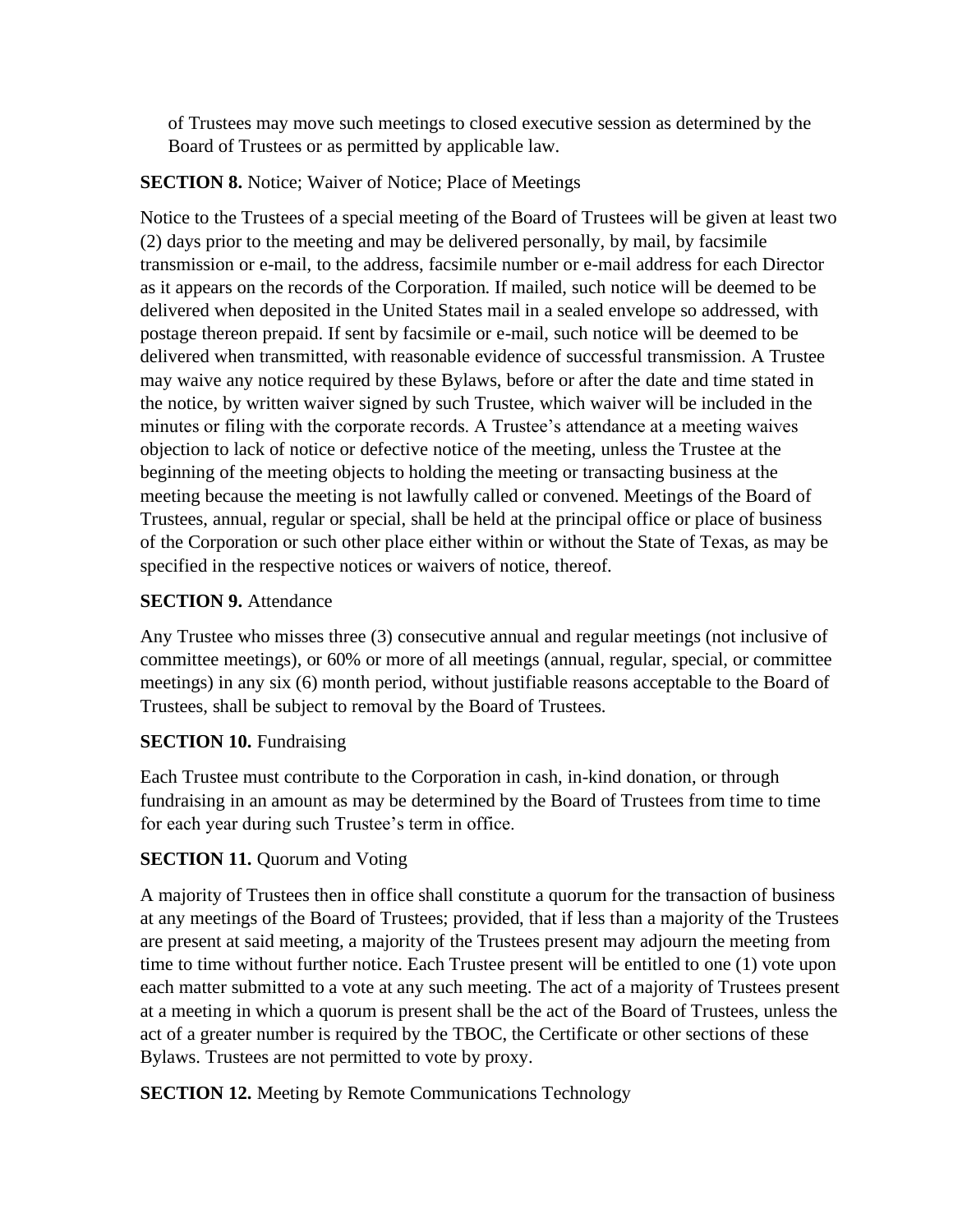of Trustees may move such meetings to closed executive session as determined by the Board of Trustees or as permitted by applicable law.

## **SECTION 8.** Notice: Waiver of Notice: Place of Meetings

Notice to the Trustees of a special meeting of the Board of Trustees will be given at least two (2) days prior to the meeting and may be delivered personally, by mail, by facsimile transmission or e-mail, to the address, facsimile number or e-mail address for each Director as it appears on the records of the Corporation. If mailed, such notice will be deemed to be delivered when deposited in the United States mail in a sealed envelope so addressed, with postage thereon prepaid. If sent by facsimile or e-mail, such notice will be deemed to be delivered when transmitted, with reasonable evidence of successful transmission. A Trustee may waive any notice required by these Bylaws, before or after the date and time stated in the notice, by written waiver signed by such Trustee, which waiver will be included in the minutes or filing with the corporate records. A Trustee's attendance at a meeting waives objection to lack of notice or defective notice of the meeting, unless the Trustee at the beginning of the meeting objects to holding the meeting or transacting business at the meeting because the meeting is not lawfully called or convened. Meetings of the Board of Trustees, annual, regular or special, shall be held at the principal office or place of business of the Corporation or such other place either within or without the State of Texas, as may be specified in the respective notices or waivers of notice, thereof.

### **SECTION 9.** Attendance

Any Trustee who misses three (3) consecutive annual and regular meetings (not inclusive of committee meetings), or 60% or more of all meetings (annual, regular, special, or committee meetings) in any six (6) month period, without justifiable reasons acceptable to the Board of Trustees, shall be subject to removal by the Board of Trustees.

#### **SECTION 10.** Fundraising

Each Trustee must contribute to the Corporation in cash, in-kind donation, or through fundraising in an amount as may be determined by the Board of Trustees from time to time for each year during such Trustee's term in office.

## **SECTION 11.** Quorum and Voting

A majority of Trustees then in office shall constitute a quorum for the transaction of business at any meetings of the Board of Trustees; provided, that if less than a majority of the Trustees are present at said meeting, a majority of the Trustees present may adjourn the meeting from time to time without further notice. Each Trustee present will be entitled to one (1) vote upon each matter submitted to a vote at any such meeting. The act of a majority of Trustees present at a meeting in which a quorum is present shall be the act of the Board of Trustees, unless the act of a greater number is required by the TBOC, the Certificate or other sections of these Bylaws. Trustees are not permitted to vote by proxy.

**SECTION 12.** Meeting by Remote Communications Technology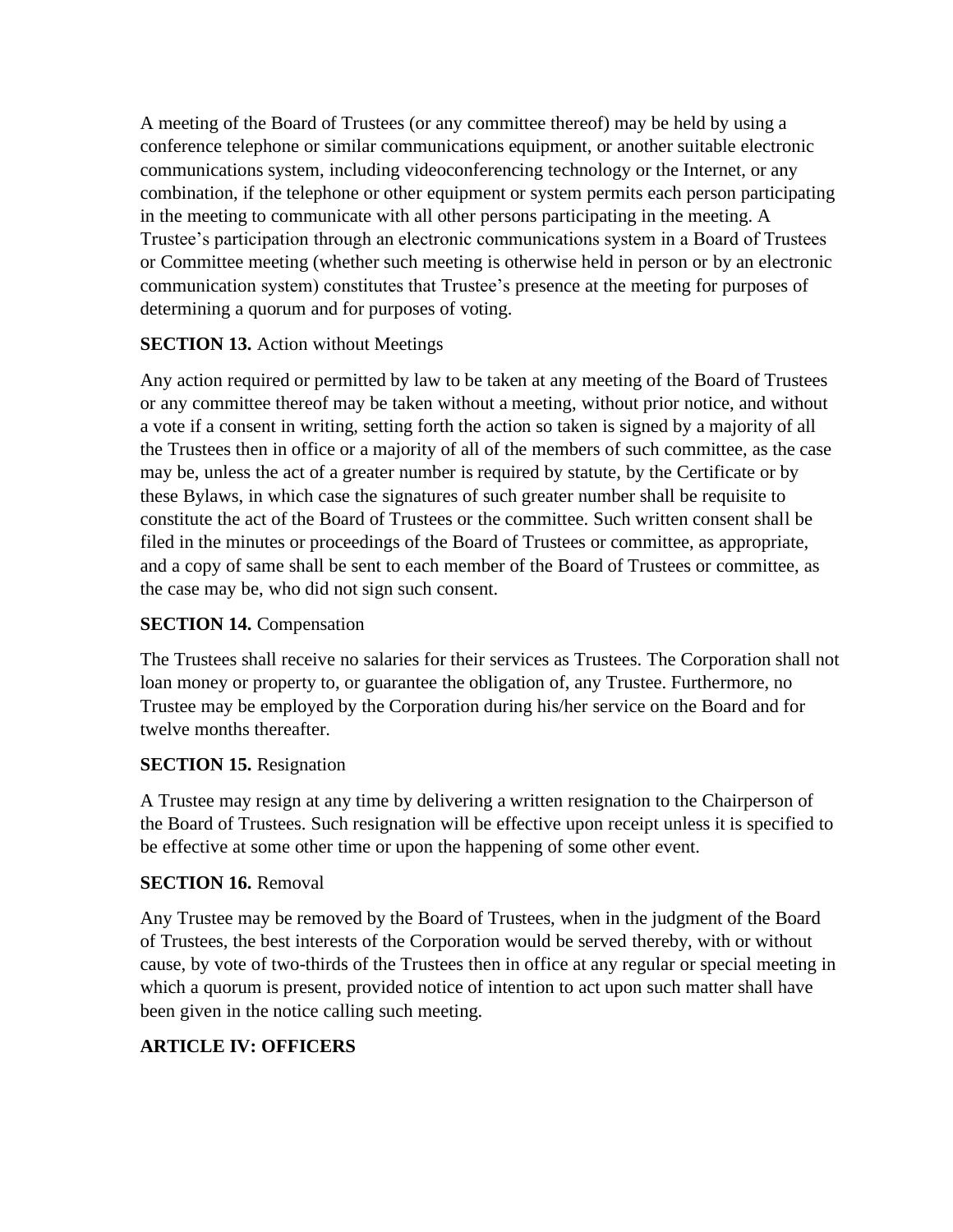A meeting of the Board of Trustees (or any committee thereof) may be held by using a conference telephone or similar communications equipment, or another suitable electronic communications system, including videoconferencing technology or the Internet, or any combination, if the telephone or other equipment or system permits each person participating in the meeting to communicate with all other persons participating in the meeting. A Trustee's participation through an electronic communications system in a Board of Trustees or Committee meeting (whether such meeting is otherwise held in person or by an electronic communication system) constitutes that Trustee's presence at the meeting for purposes of determining a quorum and for purposes of voting.

### **SECTION 13.** Action without Meetings

Any action required or permitted by law to be taken at any meeting of the Board of Trustees or any committee thereof may be taken without a meeting, without prior notice, and without a vote if a consent in writing, setting forth the action so taken is signed by a majority of all the Trustees then in office or a majority of all of the members of such committee, as the case may be, unless the act of a greater number is required by statute, by the Certificate or by these Bylaws, in which case the signatures of such greater number shall be requisite to constitute the act of the Board of Trustees or the committee. Such written consent shall be filed in the minutes or proceedings of the Board of Trustees or committee, as appropriate, and a copy of same shall be sent to each member of the Board of Trustees or committee, as the case may be, who did not sign such consent.

### **SECTION 14.** Compensation

The Trustees shall receive no salaries for their services as Trustees. The Corporation shall not loan money or property to, or guarantee the obligation of, any Trustee. Furthermore, no Trustee may be employed by the Corporation during his/her service on the Board and for twelve months thereafter.

#### **SECTION 15.** Resignation

A Trustee may resign at any time by delivering a written resignation to the Chairperson of the Board of Trustees. Such resignation will be effective upon receipt unless it is specified to be effective at some other time or upon the happening of some other event.

#### **SECTION 16.** Removal

Any Trustee may be removed by the Board of Trustees, when in the judgment of the Board of Trustees, the best interests of the Corporation would be served thereby, with or without cause, by vote of two-thirds of the Trustees then in office at any regular or special meeting in which a quorum is present, provided notice of intention to act upon such matter shall have been given in the notice calling such meeting.

## **ARTICLE IV: OFFICERS**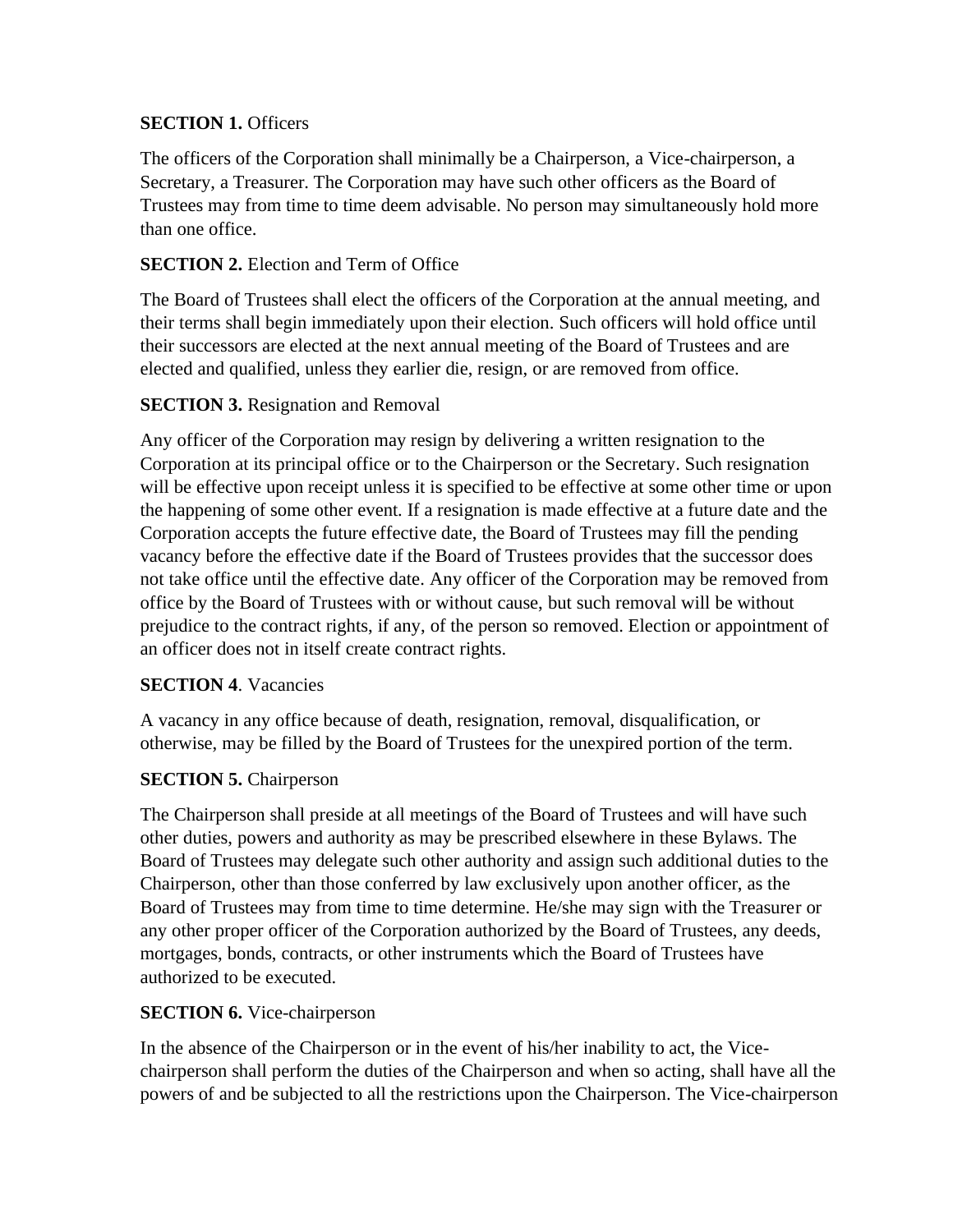### **SECTION 1. Officers**

The officers of the Corporation shall minimally be a Chairperson, a Vice-chairperson, a Secretary, a Treasurer. The Corporation may have such other officers as the Board of Trustees may from time to time deem advisable. No person may simultaneously hold more than one office.

### **SECTION 2.** Election and Term of Office

The Board of Trustees shall elect the officers of the Corporation at the annual meeting, and their terms shall begin immediately upon their election. Such officers will hold office until their successors are elected at the next annual meeting of the Board of Trustees and are elected and qualified, unless they earlier die, resign, or are removed from office.

### **SECTION 3.** Resignation and Removal

Any officer of the Corporation may resign by delivering a written resignation to the Corporation at its principal office or to the Chairperson or the Secretary. Such resignation will be effective upon receipt unless it is specified to be effective at some other time or upon the happening of some other event. If a resignation is made effective at a future date and the Corporation accepts the future effective date, the Board of Trustees may fill the pending vacancy before the effective date if the Board of Trustees provides that the successor does not take office until the effective date. Any officer of the Corporation may be removed from office by the Board of Trustees with or without cause, but such removal will be without prejudice to the contract rights, if any, of the person so removed. Election or appointment of an officer does not in itself create contract rights.

#### **SECTION 4**. Vacancies

A vacancy in any office because of death, resignation, removal, disqualification, or otherwise, may be filled by the Board of Trustees for the unexpired portion of the term.

## **SECTION 5.** Chairperson

The Chairperson shall preside at all meetings of the Board of Trustees and will have such other duties, powers and authority as may be prescribed elsewhere in these Bylaws. The Board of Trustees may delegate such other authority and assign such additional duties to the Chairperson, other than those conferred by law exclusively upon another officer, as the Board of Trustees may from time to time determine. He/she may sign with the Treasurer or any other proper officer of the Corporation authorized by the Board of Trustees, any deeds, mortgages, bonds, contracts, or other instruments which the Board of Trustees have authorized to be executed.

#### **SECTION 6.** Vice-chairperson

In the absence of the Chairperson or in the event of his/her inability to act, the Vicechairperson shall perform the duties of the Chairperson and when so acting, shall have all the powers of and be subjected to all the restrictions upon the Chairperson. The Vice-chairperson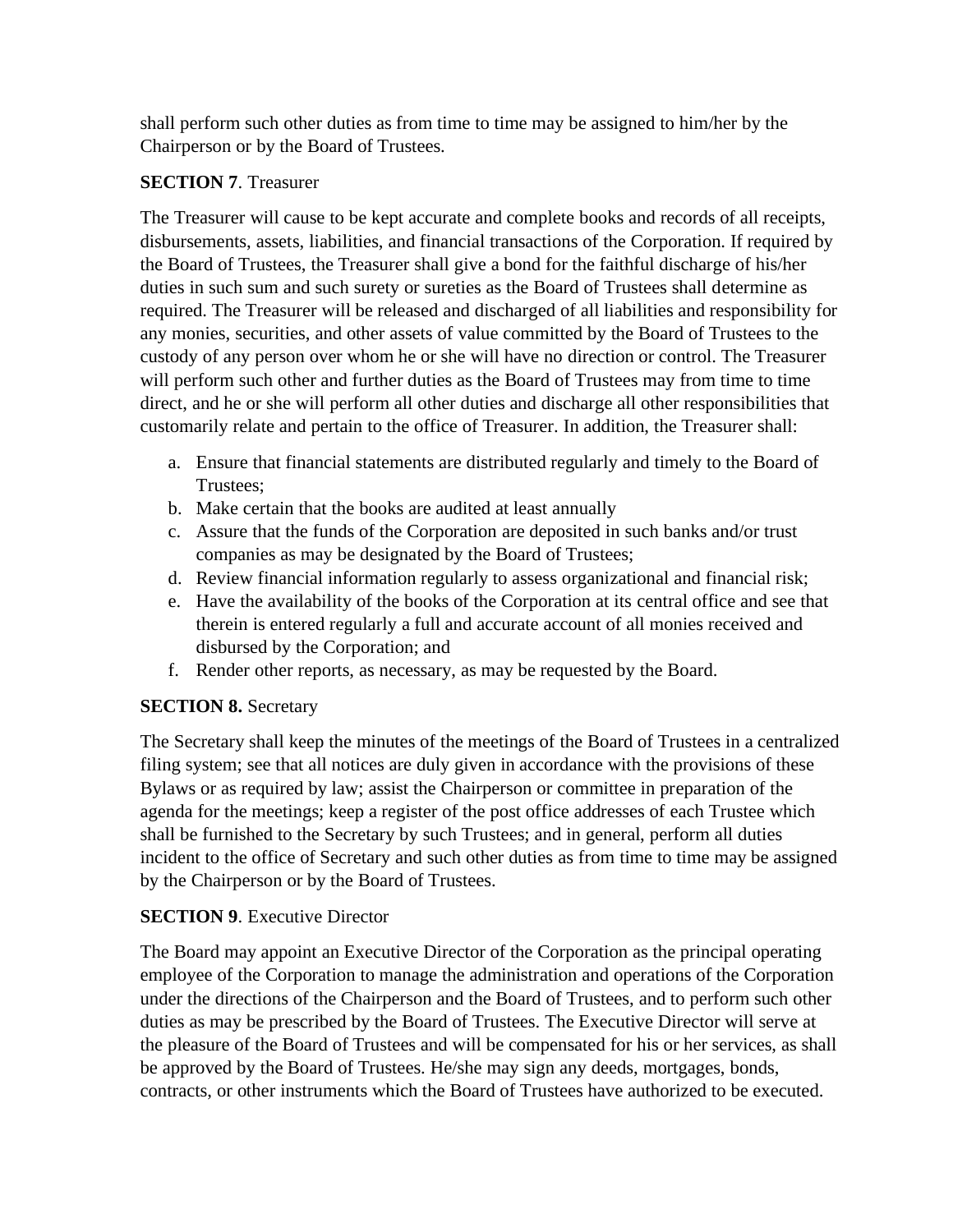shall perform such other duties as from time to time may be assigned to him/her by the Chairperson or by the Board of Trustees.

### **SECTION 7**. Treasurer

The Treasurer will cause to be kept accurate and complete books and records of all receipts, disbursements, assets, liabilities, and financial transactions of the Corporation. If required by the Board of Trustees, the Treasurer shall give a bond for the faithful discharge of his/her duties in such sum and such surety or sureties as the Board of Trustees shall determine as required. The Treasurer will be released and discharged of all liabilities and responsibility for any monies, securities, and other assets of value committed by the Board of Trustees to the custody of any person over whom he or she will have no direction or control. The Treasurer will perform such other and further duties as the Board of Trustees may from time to time direct, and he or she will perform all other duties and discharge all other responsibilities that customarily relate and pertain to the office of Treasurer. In addition, the Treasurer shall:

- a. Ensure that financial statements are distributed regularly and timely to the Board of Trustees;
- b. Make certain that the books are audited at least annually
- c. Assure that the funds of the Corporation are deposited in such banks and/or trust companies as may be designated by the Board of Trustees;
- d. Review financial information regularly to assess organizational and financial risk;
- e. Have the availability of the books of the Corporation at its central office and see that therein is entered regularly a full and accurate account of all monies received and disbursed by the Corporation; and
- f. Render other reports, as necessary, as may be requested by the Board.

## **SECTION 8.** Secretary

The Secretary shall keep the minutes of the meetings of the Board of Trustees in a centralized filing system; see that all notices are duly given in accordance with the provisions of these Bylaws or as required by law; assist the Chairperson or committee in preparation of the agenda for the meetings; keep a register of the post office addresses of each Trustee which shall be furnished to the Secretary by such Trustees; and in general, perform all duties incident to the office of Secretary and such other duties as from time to time may be assigned by the Chairperson or by the Board of Trustees.

## **SECTION 9.** Executive Director

The Board may appoint an Executive Director of the Corporation as the principal operating employee of the Corporation to manage the administration and operations of the Corporation under the directions of the Chairperson and the Board of Trustees, and to perform such other duties as may be prescribed by the Board of Trustees. The Executive Director will serve at the pleasure of the Board of Trustees and will be compensated for his or her services, as shall be approved by the Board of Trustees. He/she may sign any deeds, mortgages, bonds, contracts, or other instruments which the Board of Trustees have authorized to be executed.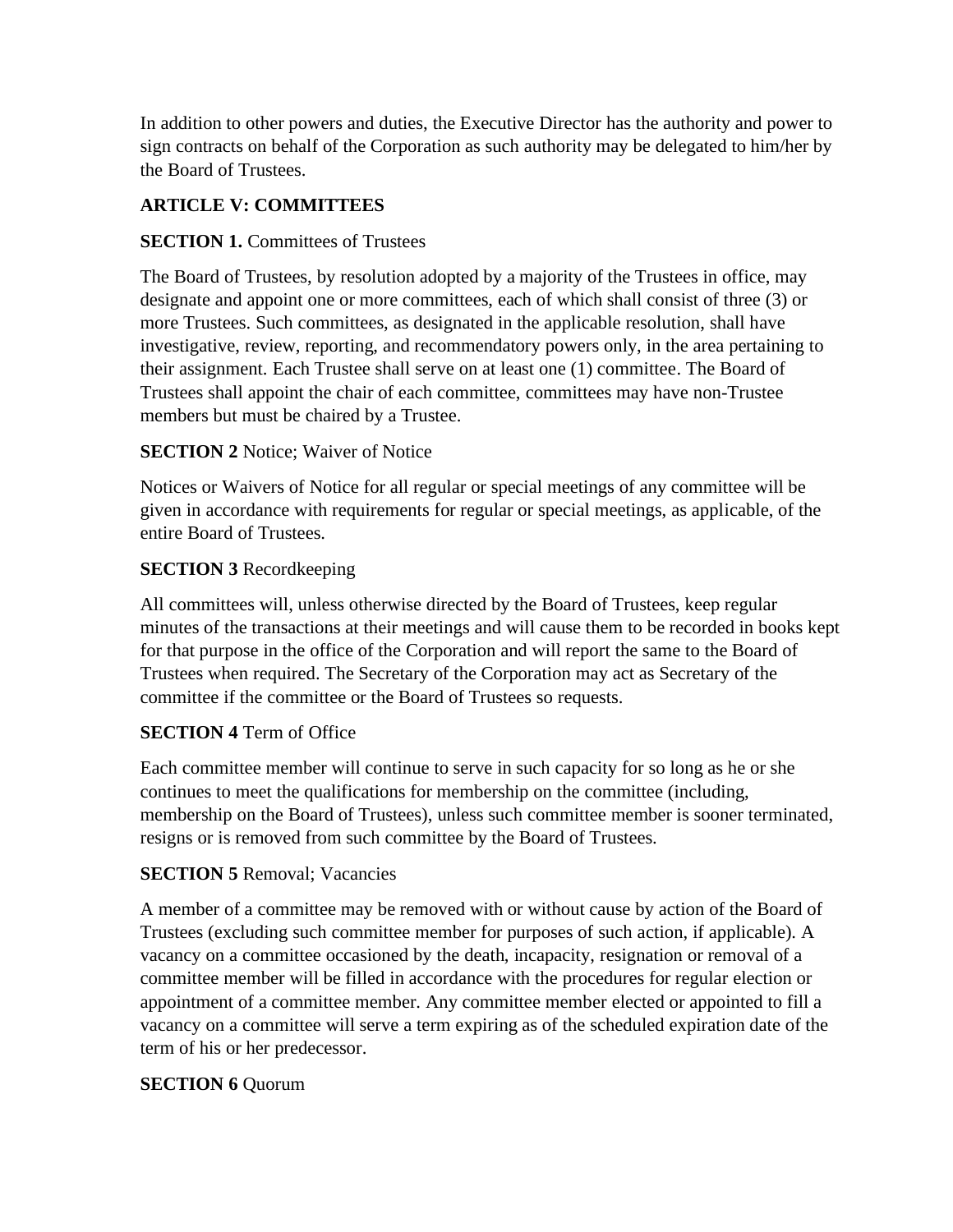In addition to other powers and duties, the Executive Director has the authority and power to sign contracts on behalf of the Corporation as such authority may be delegated to him/her by the Board of Trustees.

## **ARTICLE V: COMMITTEES**

### **SECTION 1.** Committees of Trustees

The Board of Trustees, by resolution adopted by a majority of the Trustees in office, may designate and appoint one or more committees, each of which shall consist of three (3) or more Trustees. Such committees, as designated in the applicable resolution, shall have investigative, review, reporting, and recommendatory powers only, in the area pertaining to their assignment. Each Trustee shall serve on at least one (1) committee. The Board of Trustees shall appoint the chair of each committee, committees may have non-Trustee members but must be chaired by a Trustee.

### **SECTION 2** Notice; Waiver of Notice

Notices or Waivers of Notice for all regular or special meetings of any committee will be given in accordance with requirements for regular or special meetings, as applicable, of the entire Board of Trustees.

#### **SECTION 3** Recordkeeping

All committees will, unless otherwise directed by the Board of Trustees, keep regular minutes of the transactions at their meetings and will cause them to be recorded in books kept for that purpose in the office of the Corporation and will report the same to the Board of Trustees when required. The Secretary of the Corporation may act as Secretary of the committee if the committee or the Board of Trustees so requests.

#### **SECTION 4** Term of Office

Each committee member will continue to serve in such capacity for so long as he or she continues to meet the qualifications for membership on the committee (including, membership on the Board of Trustees), unless such committee member is sooner terminated, resigns or is removed from such committee by the Board of Trustees.

#### **SECTION 5** Removal; Vacancies

A member of a committee may be removed with or without cause by action of the Board of Trustees (excluding such committee member for purposes of such action, if applicable). A vacancy on a committee occasioned by the death, incapacity, resignation or removal of a committee member will be filled in accordance with the procedures for regular election or appointment of a committee member. Any committee member elected or appointed to fill a vacancy on a committee will serve a term expiring as of the scheduled expiration date of the term of his or her predecessor.

#### **SECTION 6** Quorum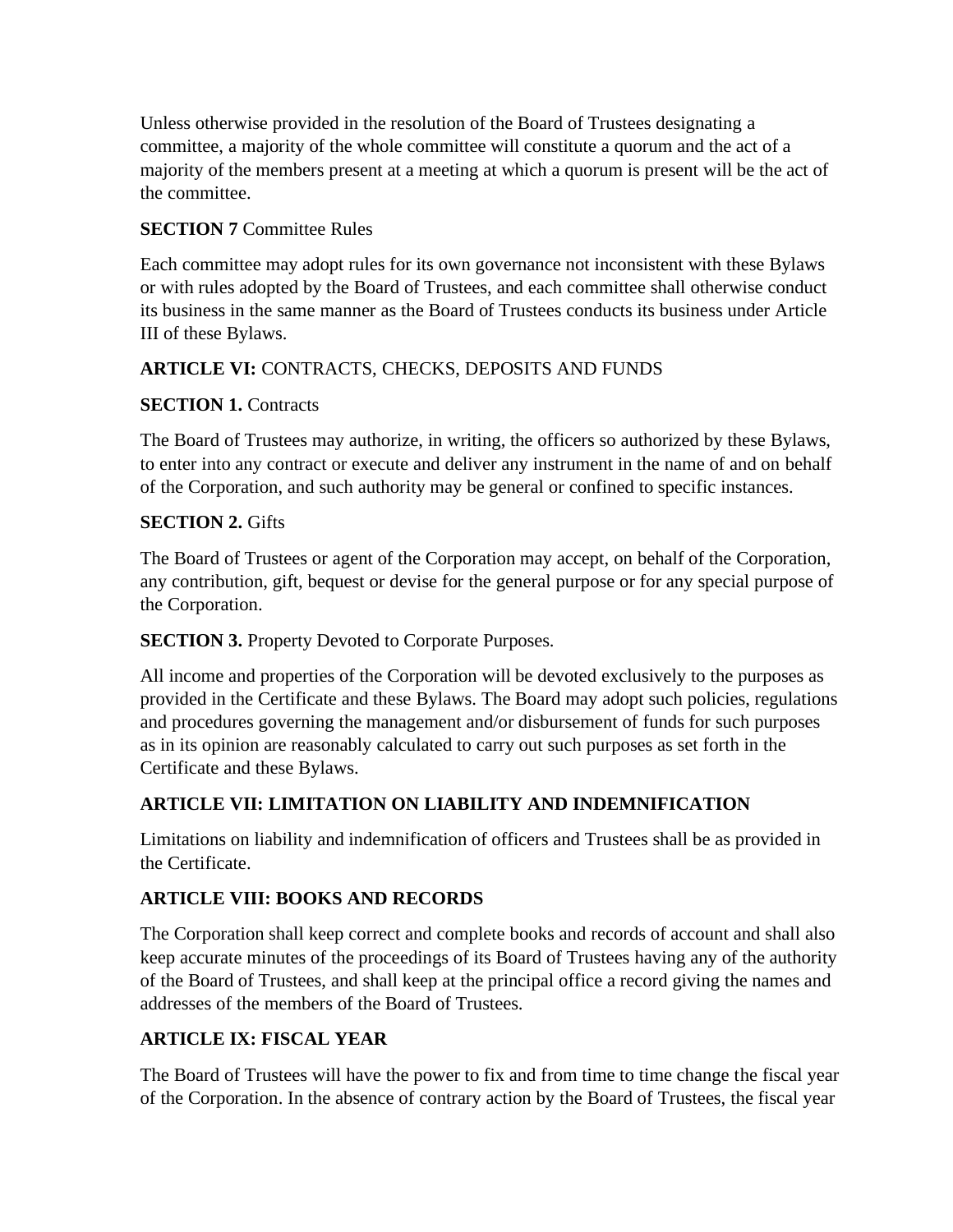Unless otherwise provided in the resolution of the Board of Trustees designating a committee, a majority of the whole committee will constitute a quorum and the act of a majority of the members present at a meeting at which a quorum is present will be the act of the committee.

## **SECTION 7** Committee Rules

Each committee may adopt rules for its own governance not inconsistent with these Bylaws or with rules adopted by the Board of Trustees, and each committee shall otherwise conduct its business in the same manner as the Board of Trustees conducts its business under Article III of these Bylaws.

## **ARTICLE VI:** CONTRACTS, CHECKS, DEPOSITS AND FUNDS

### **SECTION 1. Contracts**

The Board of Trustees may authorize, in writing, the officers so authorized by these Bylaws, to enter into any contract or execute and deliver any instrument in the name of and on behalf of the Corporation, and such authority may be general or confined to specific instances.

### **SECTION 2.** Gifts

The Board of Trustees or agent of the Corporation may accept, on behalf of the Corporation, any contribution, gift, bequest or devise for the general purpose or for any special purpose of the Corporation.

#### **SECTION 3.** Property Devoted to Corporate Purposes.

All income and properties of the Corporation will be devoted exclusively to the purposes as provided in the Certificate and these Bylaws. The Board may adopt such policies, regulations and procedures governing the management and/or disbursement of funds for such purposes as in its opinion are reasonably calculated to carry out such purposes as set forth in the Certificate and these Bylaws.

## **ARTICLE VII: LIMITATION ON LIABILITY AND INDEMNIFICATION**

Limitations on liability and indemnification of officers and Trustees shall be as provided in the Certificate.

## **ARTICLE VIII: BOOKS AND RECORDS**

The Corporation shall keep correct and complete books and records of account and shall also keep accurate minutes of the proceedings of its Board of Trustees having any of the authority of the Board of Trustees, and shall keep at the principal office a record giving the names and addresses of the members of the Board of Trustees.

## **ARTICLE IX: FISCAL YEAR**

The Board of Trustees will have the power to fix and from time to time change the fiscal year of the Corporation. In the absence of contrary action by the Board of Trustees, the fiscal year